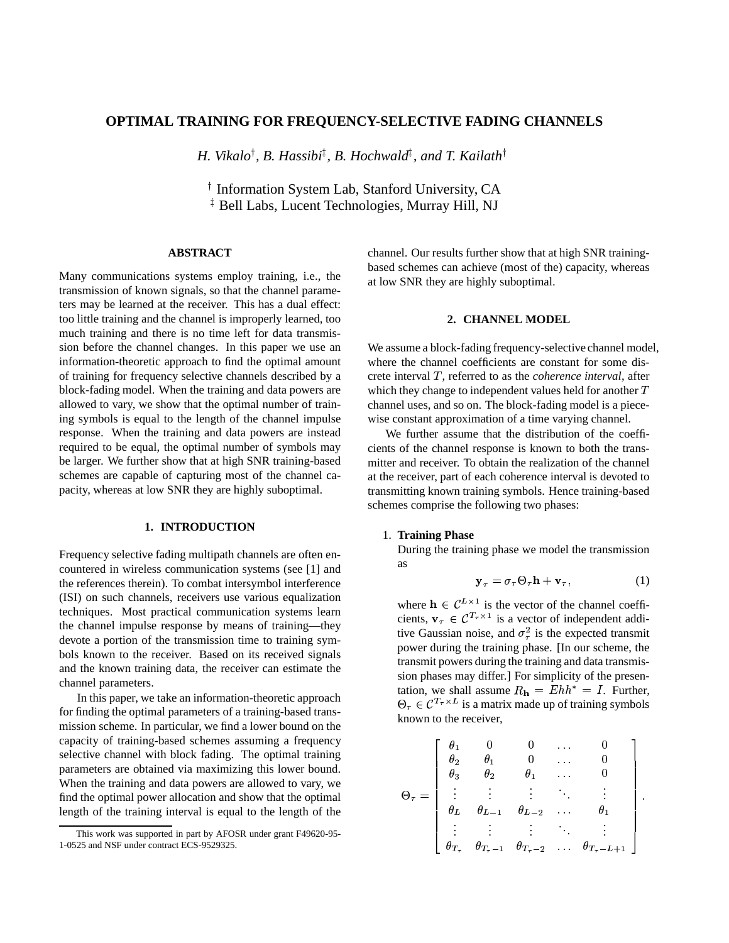# **OPTIMAL TRAINING FOR FREQUENCY-SELECTIVE FADING CHANNELS**

*H. Vikalo , B. Hassibi , B. Hochwald , and T. Kailath*

<sup>†</sup> Information System Lab, Stanford University, CA  $^{\ddagger}$  Bell Labs, Lucent Technologies, Murray Hill, NJ

### **ABSTRACT**

Many communications systems employ training, i.e., the transmission of known signals, so that the channel parameters may be learned at the receiver. This has a dual effect: too little training and the channel is improperly learned, too much training and there is no time left for data transmission before the channel changes. In this paper we use an information-theoretic approach to find the optimal amount of training for frequency selective channels described by a block-fading model. When the training and data powers are allowed to vary, we show that the optimal number of training symbols is equal to the length of the channel impulse response. When the training and data powers are instead required to be equal, the optimal number of symbols may be larger. We further show that at high SNR training-based schemes are capable of capturing most of the channel capacity, whereas at low SNR they are highly suboptimal.

# **1. INTRODUCTION**

Frequency selective fading multipath channels are often encountered in wireless communication systems (see [1] and the references therein). To combat intersymbol interference (ISI) on such channels, receivers use various equalization techniques. Most practical communication systems learn the channel impulse response by means of training—they devote a portion of the transmission time to training symbols known to the receiver. Based on its received signals and the known training data, the receiver can estimate the channel parameters.

In this paper, we take an information-theoretic approach for finding the optimal parameters of a training-based transmission scheme. In particular, we find a lower bound on the capacity of training-based schemes assuming a frequency selective channel with block fading. The optimal training parameters are obtained via maximizing this lower bound. When the training and data powers are allowed to vary, we find the optimal power allocation and show that the optimal length of the training interval is equal to the length of the

channel. Our results further show that at high SNR trainingbased schemes can achieve (most of the) capacity, whereas at low SNR they are highly suboptimal.

### **2. CHANNEL MODEL**

We assume a block-fading frequency-selective channel model, where the channel coefficients are constant for some discrete interval T, referred to as the *coherence interval*, after which they change to independent values held for another  $T$ channel uses, and so on. The block-fading model is a piecewise constant approximation of a time varying channel.

We further assume that the distribution of the coefficients of the channel response is known to both the transmitter and receiver. To obtain the realization of the channel at the receiver, part of each coherence interval is devoted to transmitting known training symbols. Hence training-based schemes comprise the following two phases:

#### 1. **Training Phase**

During the training phase we model the transmission as

$$
\mathbf{y}_{\tau} = \sigma_{\tau} \Theta_{\tau} \mathbf{h} + \mathbf{v}_{\tau}, \qquad (1)
$$

where  $\mathbf{h} \in \mathcal{C}^{L \times 1}$  is the vector of the channel coefficients,  $\mathbf{v}_{\tau} \in \mathcal{C}^{T_{\tau} \times 1}$  is a vector of independent additive Gaussian noise, and  $\sigma_{\tau}^2$  is the expected transmit power during the training phase. [In our scheme, the transmit powers during the training and data transmission phases may differ.] For simplicity of the presentation, we shall assume  $R_{\rm h} = Ehh^* = I$ . Further,  $\Theta_{\tau} \in \mathcal{C}^{T_{\tau} \times L}$  is a matrix made up of training symbols known to the receiver,

$$
\Theta_{\tau} = \left[ \begin{array}{ccccc} \theta_1 & 0 & 0 & \cdots & 0 \\ \theta_2 & \theta_1 & 0 & \cdots & 0 \\ \theta_3 & \theta_2 & \theta_1 & \cdots & 0 \\ \vdots & \vdots & \vdots & \ddots & \vdots \\ \theta_L & \theta_{L-1} & \theta_{L-2} & \cdots & \theta_1 \\ \vdots & \vdots & \vdots & \ddots & \vdots \\ \theta_{T_{\tau}} & \theta_{T_{\tau}-1} & \theta_{T_{\tau}-2} & \cdots & \theta_{T_{\tau}-L+1} \end{array} \right].
$$

This work was supported in part by AFOSR under grant F49620-95- 1-0525 and NSF under contract ECS-9529325.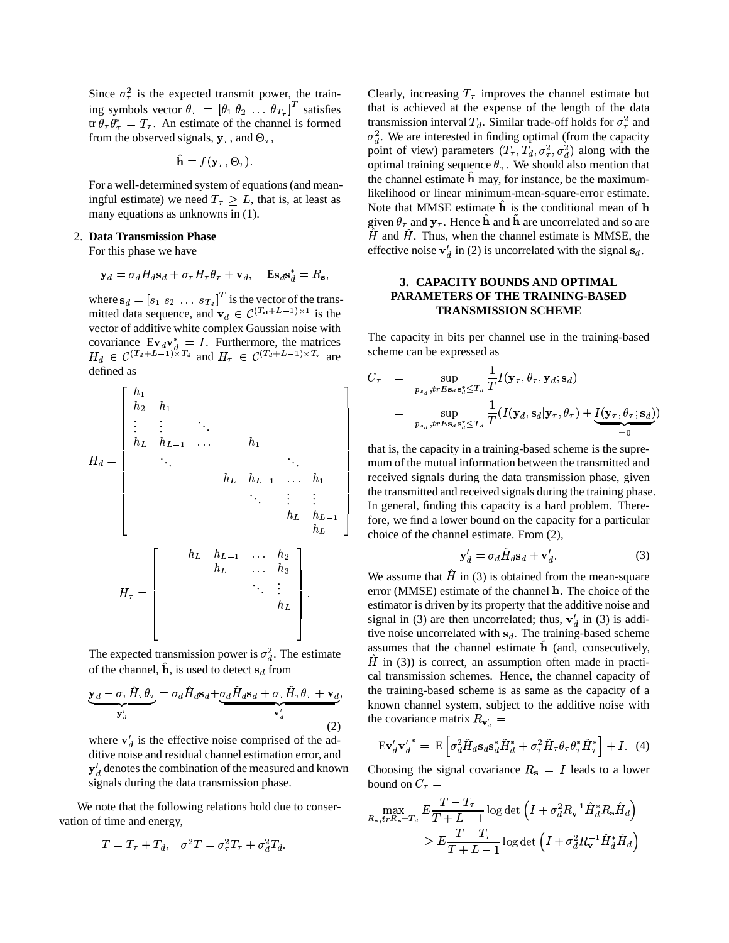Since  $\sigma_{\tau}^2$  is the expected transmit power, the training symbols vector  $\theta_{\tau} = [\theta_1 \ \theta_2 \ \dots \ \theta_{T_{\tau}}]^T$  satisfies tr  $\theta_{\tau} \theta_{\tau}^* = T_{\tau}$ . An estimate of the channel is formed from the observed signals,  $y_\tau$ , and  $\Theta_\tau$ ,

$$
\hat{\mathbf{h}} = f(\mathbf{y}_{\tau}, \Theta_{\tau}).
$$

For a well-determined system of equations(and meaningful estimate) we need  $T<sub>\tau</sub> \geq L$ , that is, at least as many equations as unknowns in (1).

# 2. **Data Transmission Phase**

For this phase we have

$$
\mathbf{y}_d = \sigma_d H_d \mathbf{s}_d + \sigma_\tau H_\tau \theta_\tau + \mathbf{v}_d, \quad \mathbf{E} \mathbf{s}_d \mathbf{s}_d^* = R_\mathbf{s},
$$

where  $\mathbf{s}_d = [s_1 \ s_2 \ \dots \ s_{T_d}]^T$  is the vector of the transmitted data sequence, and  $\mathbf{v}_d \in C(T_d + L - 1) \times 1$  is the vector of additive white complex Gaussian noise with covariance  $\text{Ev}_d \mathbf{v}_d^* = I$ . Furthermore, the matrices  $H_d \in \mathcal{C}^{(T_d+L-1)\times T_d}$  and  $H_{\tau} \in \mathcal{C}^{(T_d+L-1)\times T_{\tau}}$  are defined as

$$
H_{d} = \begin{bmatrix} h_{1} \\ h_{2} & h_{1} \\ \vdots & \vdots & \ddots \\ h_{L} & h_{L-1} & \cdots & h_{1} \\ & \ddots & \ddots & \ddots \\ & & h_{L} & h_{L-1} & \cdots & h_{1} \\ & & & \ddots & \vdots & \vdots \\ & & & h_{L} & h_{L-1} \\ & & & & h_{L} & h_{L} \\ & & & & & h_{L} \end{bmatrix} \quad \begin{matrix} \mathbf{t} \\ \mathbf{t} \\ \mathbf{t} \\ \mathbf{t} \\ \mathbf{t} \\ \mathbf{t} \\ \mathbf{t} \\ \mathbf{t} \end{matrix}
$$

The expected transmission power is  $\sigma_d^2$ . The estimate of the channel,  $\hat{\mathbf{h}}$ , is used to detect  $\mathbf{s}_d$  from

$$
\mathbf{y}_{d} - \sigma_{\tau} \hat{H}_{\tau} \theta_{\tau} = \sigma_{d} \hat{H}_{d} \mathbf{s}_{d} + \underbrace{\sigma_{d} \tilde{H}_{d} \mathbf{s}_{d} + \sigma_{\tau} \tilde{H}_{\tau} \theta_{\tau} + \mathbf{v}_{d}}_{\mathbf{v}'_{d}},
$$
\n(2)

where  $\mathbf{v}'_d$  is the effective noise comprised of the additive noise and residual channel estimation error, and  $y_d$  denotes the combination of the measured and known signals during the data transmission phase.

We note that the following relations hold due to conservation of time and energy,

$$
T = T_{\tau} + T_d, \quad \sigma^2 T = \sigma_{\tau}^2 T_{\tau} + \sigma_d^2 T_d.
$$

Clearly, increasing  $T_{\tau}$  improves the channel estimate but that is achieved at the expense of the length of the data transmission interval  $T_d$ . Similar trade-off holds for  $\sigma_\tau^2$  and  $\sigma_d^2$ . We are interested in finding optimal (from the capacity point of view) parameters  $(T_{\tau}, T_d, \sigma_{\tau}^2, \sigma_d^2)$  along with the optimal training sequence  $\theta_{\tau}$ . We should also mention that the channel estimate  $\hat{h}$  may, for instance, be the maximumlikelihood or linear minimum-mean-square-error estimate. Note that MMSE estimate  $\hat{\bf h}$  is the conditional mean of  ${\bf h}$ given  $\theta_{\tau}$  and  $\mathbf{y}_{\tau}$ . Hence  $\hat{\mathbf{h}}$  and  $\tilde{\mathbf{h}}$  are uncorrelated and so are  $\hat{H}$  and  $\hat{H}$ . Thus, when the channel estimate is MMSE, the effective noise  $\mathbf{v}'_d$  in (2) is uncorrelated with the signal  $\mathbf{s}_d$ .

# **3. CAPACITY BOUNDS AND OPTIMAL PARAMETERS OF THE TRAINING-BASED TRANSMISSION SCHEME**

The capacity in bits per channel use in the training-based scheme can be expressed as

$$
C_{\tau} = \sup_{p_{s_d}, trE \mathbf{s}_d \mathbf{s}_d^* \leq T_d} \frac{1}{T} I(\mathbf{y}_{\tau}, \theta_{\tau}, \mathbf{y}_d; \mathbf{s}_d)
$$
  
= 
$$
\sup_{p_{s_d}, trE \mathbf{s}_d \mathbf{s}_d^* \leq T_d} \frac{1}{T} (I(\mathbf{y}_d, \mathbf{s}_d | \mathbf{y}_{\tau}, \theta_{\tau}) + \underbrace{I(\mathbf{y}_{\tau}, \theta_{\tau}; \mathbf{s}_d)}_{=0})
$$

 $\left\lceil \frac{h_{L-1}}{h_{L-1}} \right\rceil$  fore, we find a lower bound on the capacity for a particular choice of the channel estimate. From (2), that is, the capacity in a training-based scheme is the supremum of the mutual information between the transmitted and received signals during the data transmission phase, given the transmitted and received signals during the training phase. In general, finding this capacity is a hard problem. There-

$$
\mathbf{y}'_d = \sigma_d \hat{H}_d \mathbf{s}_d + \mathbf{v}'_d. \tag{3}
$$

 $+\sigma_{\tau} \tilde{H}_{\tau} \theta_{\tau} + \mathbf{v}_{d}$ , the training-based scheme is as same as the capacity of a known channel system, subject to the additive noise with We assume that  $\hat{H}$  in (3) is obtained from the mean-square error (MMSE) estimate of the channel . The choice of the estimator is driven by its property that the additive noise and signal in (3) are then uncorrelated; thus,  $\mathbf{v}'_d$  in (3) is additive noise uncorrelated with  $s_d$ . The training-based scheme assumes that the channel estimate  $\hat{\mathbf{h}}$  (and, consecutively,  $\hat{H}$  in (3)) is correct, an assumption often made in practical transmission schemes. Hence, the channel capacity of the covariance matrix  $R_{\mathbf{v}'_d} =$ 

$$
\mathrm{E}\mathbf{v}'_{d}\mathbf{v}'_{d}^* = \mathrm{E}\left[\sigma_d^2\tilde{H}_d\mathbf{s}_d\mathbf{s}_d^*\tilde{H}_d^* + \sigma_\tau^2\tilde{H}_\tau\theta_\tau\theta_\tau^*\tilde{H}_\tau^*\right] + I. \tag{4}
$$

Choosing the signal covariance  $R<sub>s</sub> = I$  leads to a lower bound on  $C_{\tau}$  =

$$
\max_{R_{\mathbf{s}}, trR_{\mathbf{s}}=T_d} E \frac{T - T_{\tau}}{T + L - 1} \log \det \left( I + \sigma_d^2 R_{\mathbf{v}}^{-1} \hat{H}_d^* R_{\mathbf{s}} \hat{H}_d \right)
$$
  
 
$$
\geq E \frac{T - T_{\tau}}{T + L - 1} \log \det \left( I + \sigma_d^2 R_{\mathbf{v}}^{-1} \hat{H}_d^* \hat{H}_d \right)
$$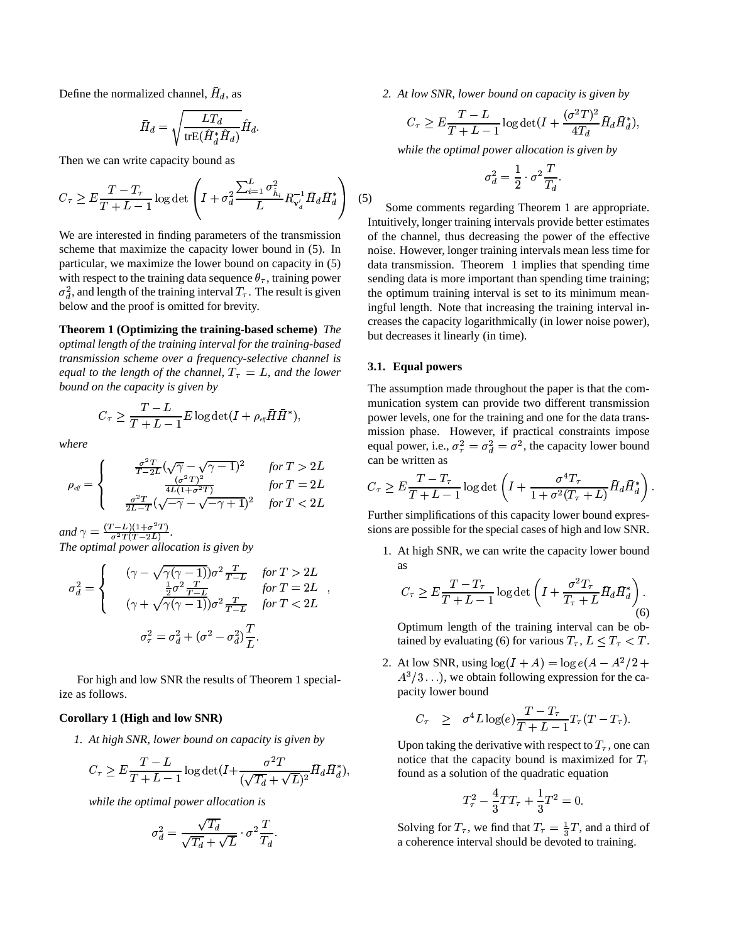Define the normalized channel,  $\bar{H}_d$ , as

$$
\bar{H}_d = \sqrt{\frac{LT_d}{\text{trE}(\hat{H}_d^* \hat{H}_d)}} \hat{H}_d.
$$

Then we can write capacity bound as

$$
C_{\tau} \ge E \frac{T - T_{\tau}}{T + L - 1} \log \det \left( I + \sigma_d^2 \frac{\sum_{i=1}^L \sigma_{\hat{h}_i}^2}{L} R_{\mathbf{v}_d'}^{-1} \bar{H}_d \bar{H}_d^* \right) \tag{5}
$$

We are interested in finding parameters of the transmission scheme that maximize the capacity lower bound in (5). In particular, we maximize the lower bound on capacity in (5) with respect to the training data sequence  $\theta_{\tau}$ , training power  $\sigma_d^2$ , and length of the training interval  $T_{\tau}$ . The result is given below and the proof is omitted for brevity.

**Theorem 1 (Optimizing the training-based scheme)** *The optimal length of the training interval for the training-based transmission scheme over a frequency-selective channel is equal to the length of the channel,*  $T_{\tau} = L$ *, and the lower bound on the capacity is given by*

$$
C_\tau \geq \frac{T-L}{T+L-1}E\log\det(I+\rho_{\rm \it eff}\bar{H}\bar{H}^*),
$$

*where*

$$
\rho_{\text{eff}} = \begin{cases}\n\frac{\sigma^2 T}{T - 2L} (\sqrt{\gamma} - \sqrt{\gamma - 1})^2 & \text{for } T > 2L \\
\frac{(\sigma^2 T)^2}{4L(1 + \sigma^2 T)} & \text{for } T = 2L \\
\frac{\sigma^2 T}{2L - T} (\sqrt{-\gamma} - \sqrt{-\gamma + 1})^2 & \text{for } T < 2L\n\end{cases}
$$

and  $\gamma = \frac{(T - L)(1 + \sigma^2 T)}{\sigma^2 T (T - 2L)}$ . *The optimal power allocation is given by*

$$
\sigma_d^2 = \begin{cases}\n\quad (\gamma - \sqrt{\gamma(\gamma - 1)}) \sigma^2 \frac{T}{T - L} & \text{for } T > 2L \\
\frac{1}{2} \sigma^2 \frac{T}{T - L} & \text{for } T = 2L \\
(\gamma + \sqrt{\gamma(\gamma - 1)}) \sigma^2 \frac{T}{T - L} & \text{for } T < 2L\n\end{cases}
$$
\n
$$
\sigma_\tau^2 = \sigma_d^2 + (\sigma^2 - \sigma_d^2) \frac{T}{L}.
$$

For high and low SNR the results of Theorem 1 specialize as follows.

## **Corollary 1 (High and low SNR)**

*1. At high SNR, lower bound on capacity is given by*

$$
C_{\tau} \ge E \frac{T - L}{T + L - 1} \log \det(I + \frac{\sigma^2 T}{(\sqrt{T_d} + \sqrt{L})^2} \bar{H}_d \bar{H}_d^*),
$$

*while the optimal power allocation is*

$$
\sigma_d^2 = \frac{\sqrt{T_d}}{\sqrt{T_d} + \sqrt{L}} \cdot \sigma^2 \frac{T}{T_d}.
$$

*2. At low SNR, lower bound on capacity is given by*

$$
C_{\tau} \ge E \frac{T-L}{T+L-1} \log \det(I + \frac{(\sigma^2 T)^2}{4T_d} \bar{H}_d \bar{H}_d^*),
$$

*while the optimal power allocation is given by*

$$
\sigma_d^2 = \frac{1}{2} \cdot \sigma^2 \frac{T}{T_d}.
$$

 $H_d H_d$  (5)<br>Some comments regarding Theorem 1 are appropriate. (5) Intuitively, longer training intervals provide better estimates of the channel, thus decreasing the power of the effective noise. However, longer training intervals mean less time for data transmission. Theorem 1 implies that spending time sending data is more important than spending time training; the optimum training interval is set to its minimum meaningful length. Note that increasing the training interval increases the capacity logarithmically (in lower noise power), but decreases it linearly (in time).

### **3.1. Equal powers**

The assumption made throughout the paper is that the communication system can provide two different transmission power levels, one for the training and one for the data transmission phase. However, if practical constraints impose equal power, i.e.,  $\sigma_{\tau}^2 = \sigma_d^2 = \sigma^2$ , the capacity lower bound can be written as

$$
2L \t C_{\tau} \ge E \frac{T - T_{\tau}}{T + L - 1} \log \det \left( I + \frac{\sigma^4 T_{\tau}}{1 + \sigma^2 (T_{\tau} + L)} \bar{H}_d \bar{H}_d^* \right).
$$
  
2L Further simplifications of this capacity lower bound express-

sions are possible for the special cases of high and low SNR.

1. At high SNR, we can write the capacity lower bound as

$$
C_{\tau} \ge E \frac{T - T_{\tau}}{T + L - 1} \log \det \left( I + \frac{\sigma^2 T_{\tau}}{T_{\tau} + L} \bar{H}_d \bar{H}_d^* \right). \tag{6}
$$

 Optimum length of the training interval can be obtained by evaluating (6) for various  $T_{\tau}$ ,  $L \leq T_{\tau} < T$ .

2. At low SNR, using  $\log(I + A) = \log e(A - A^2/2 +$  $A^3/3\ldots$ , we obtain following expression for the capacity lower bound

$$
C_{\tau} \geq \sigma^4 L \log(e) \frac{T - T_{\tau}}{T + L - 1} T_{\tau} (T - T_{\tau}).
$$

Upon taking the derivative with respect to  $T_{\tau}$ , one can notice that the capacity bound is maximized for  $T$ found as a solution of the quadratic equation

$$
T_{\tau}^2 - \frac{4}{3}TT_{\tau} + \frac{1}{3}T^2 = 0.
$$

Solving for  $T_{\tau}$ , we find that  $T_{\tau} = \frac{1}{3}T$ , and a third of a coherence interval should be devoted to training.